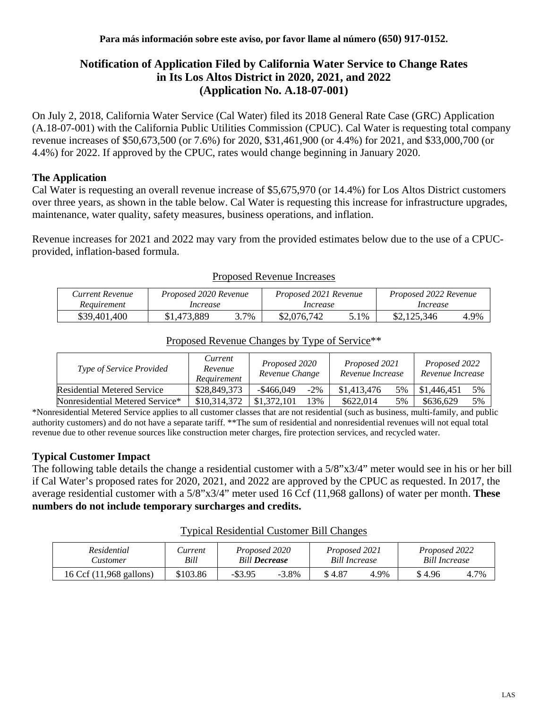# **Notification of Application Filed by California Water Service to Change Rates in Its Los Altos District in 2020, 2021, and 2022 (Application No. A.18-07-001)**

On July 2, 2018, California Water Service (Cal Water) filed its 2018 General Rate Case (GRC) Application (A.18-07-001) with the California Public Utilities Commission (CPUC). Cal Water is requesting total company revenue increases of \$50,673,500 (or 7.6%) for 2020, \$31,461,900 (or 4.4%) for 2021, and \$33,000,700 (or 4.4%) for 2022. If approved by the CPUC, rates would change beginning in January 2020.

## **The Application**

Cal Water is requesting an overall revenue increase of \$5,675,970 (or 14.4%) for Los Altos District customers over three years, as shown in the table below. Cal Water is requesting this increase for infrastructure upgrades, maintenance, water quality, safety measures, business operations, and inflation.

Revenue increases for 2021 and 2022 may vary from the provided estimates below due to the use of a CPUCprovided, inflation-based formula.

| Current Revenue | Proposed 2020 Revenue |      | Proposed 2021 Revenue |      | Proposed 2022 Revenue |      |  |
|-----------------|-----------------------|------|-----------------------|------|-----------------------|------|--|
| Requirement     | Increase              |      | Increase              |      | <i>Increase</i>       |      |  |
| \$39,401,400    | \$1,473,889           | 3.7% | \$2,076,742           | 5.1% | \$2,125,346           | 4.9% |  |

#### Proposed Revenue Increases

|  |  | Proposed Revenue Changes by Type of Service <sup>**</sup> |
|--|--|-----------------------------------------------------------|
|  |  |                                                           |

| Type of Service Provided           | Current<br>Revenue<br>Requirement |              | Proposed 2020<br>Revenue Change |             | Proposed 2021<br>Revenue Increase |             | Proposed 2022<br>Revenue Increase |  |
|------------------------------------|-----------------------------------|--------------|---------------------------------|-------------|-----------------------------------|-------------|-----------------------------------|--|
| <b>Residential Metered Service</b> | \$28,849,373                      | $-\$466.049$ | $-2\%$                          | \$1,413,476 | 5%                                | \$1,446,451 | 5%                                |  |
| Nonresidential Metered Service*    | \$10,314,372                      | \$1,372,101  | 13%                             | \$622,014   | 5%                                | \$636,629   | 5%                                |  |

\*Nonresidential Metered Service applies to all customer classes that are not residential (such as business, multi-family, and public authority customers) and do not have a separate tariff. \*\*The sum of residential and nonresidential revenues will not equal total revenue due to other revenue sources like construction meter charges, fire protection services, and recycled water.

### **Typical Customer Impact**

The following table details the change a residential customer with a 5/8"x3/4" meter would see in his or her bill if Cal Water's proposed rates for 2020, 2021, and 2022 are approved by the CPUC as requested. In 2017, the average residential customer with a 5/8"x3/4" meter used 16 Ccf (11,968 gallons) of water per month. **These numbers do not include temporary surcharges and credits.**

#### Typical Residential Customer Bill Changes

| Residential             | Current  | Proposed 2020        |          | Proposed 2021        |      | Proposed 2022        |      |
|-------------------------|----------|----------------------|----------|----------------------|------|----------------------|------|
| <b>Lustomer</b>         | Bill     | <b>Bill Decrease</b> |          | <b>Bill Increase</b> |      | <b>Bill Increase</b> |      |
| 16 Ccf (11,968 gallons) | \$103.86 | $-$ \$3.95           | $-3.8\%$ | \$4.87               | 4.9% | \$4.96               | 4.7% |